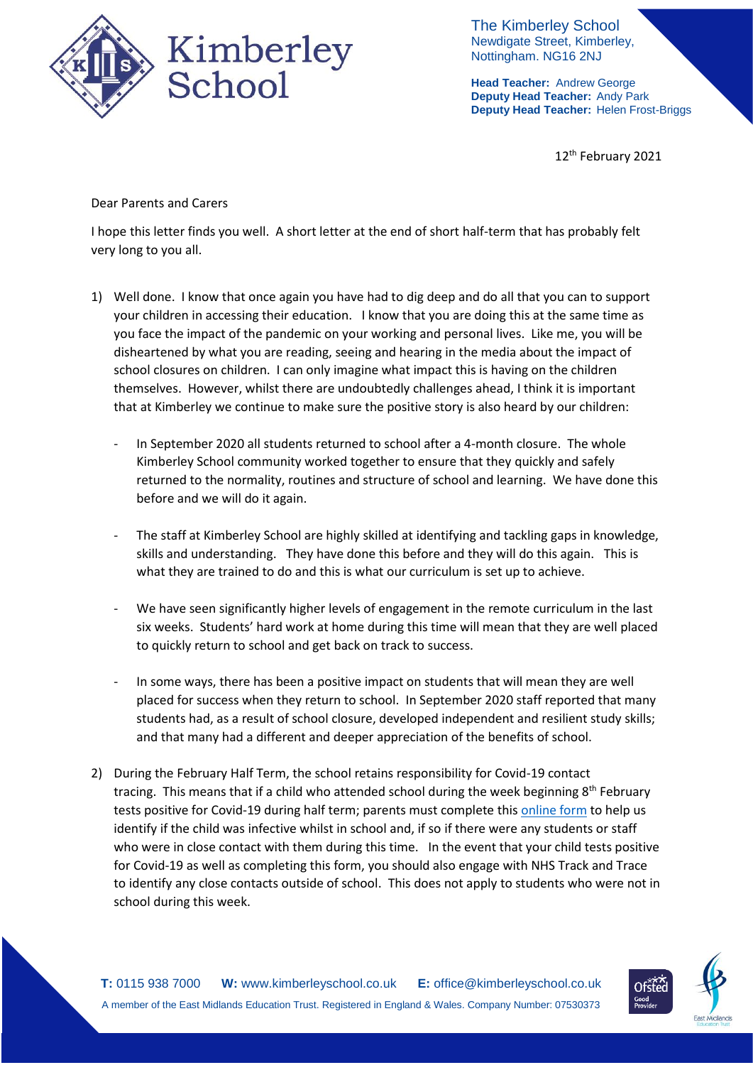

The Kimberley School Newdigate Street, Kimberley, Nottingham. NG16 2NJ

**Head Teacher:** Andrew George **Deputy Head Teacher:** Andy Park **Deputy Head Teacher:** Helen Frost-Briggs

12<sup>th</sup> February 2021

Dear Parents and Carers

I hope this letter finds you well. A short letter at the end of short half-term that has probably felt very long to you all.

- 1) Well done. I know that once again you have had to dig deep and do all that you can to support your children in accessing their education. I know that you are doing this at the same time as you face the impact of the pandemic on your working and personal lives. Like me, you will be disheartened by what you are reading, seeing and hearing in the media about the impact of school closures on children. I can only imagine what impact this is having on the children themselves. However, whilst there are undoubtedly challenges ahead, I think it is important that at Kimberley we continue to make sure the positive story is also heard by our children:
	- In September 2020 all students returned to school after a 4-month closure. The whole Kimberley School community worked together to ensure that they quickly and safely returned to the normality, routines and structure of school and learning. We have done this before and we will do it again.
	- The staff at Kimberley School are highly skilled at identifying and tackling gaps in knowledge, skills and understanding. They have done this before and they will do this again. This is what they are trained to do and this is what our curriculum is set up to achieve.
	- We have seen significantly higher levels of engagement in the remote curriculum in the last six weeks. Students' hard work at home during this time will mean that they are well placed to quickly return to school and get back on track to success.
	- In some ways, there has been a positive impact on students that will mean they are well placed for success when they return to school. In September 2020 staff reported that many students had, as a result of school closure, developed independent and resilient study skills; and that many had a different and deeper appreciation of the benefits of school.
- 2) During the February Half Term, the school retains responsibility for Covid-19 contact tracing. This means that if a child who attended school during the week beginning 8<sup>th</sup> February tests positive for Covid-19 during half term; parents must complete this [online form](https://forms.office.com/Pages/ResponsePage.aspx?id=h4JaFYDSiky-6glrnTAOBmQEdvWSEThNlRxq25LyiOZUNkc4Rzc0Sjg4TkNaVkxLWjE5REM2WE9VSC4u) to help us identify if the child was infective whilst in school and, if so if there were any students or staff who were in close contact with them during this time. In the event that your child tests positive for Covid-19 as well as completing this form, you should also engage with NHS Track and Trace to identify any close contacts outside of school. This does not apply to students who were not in school during this week.